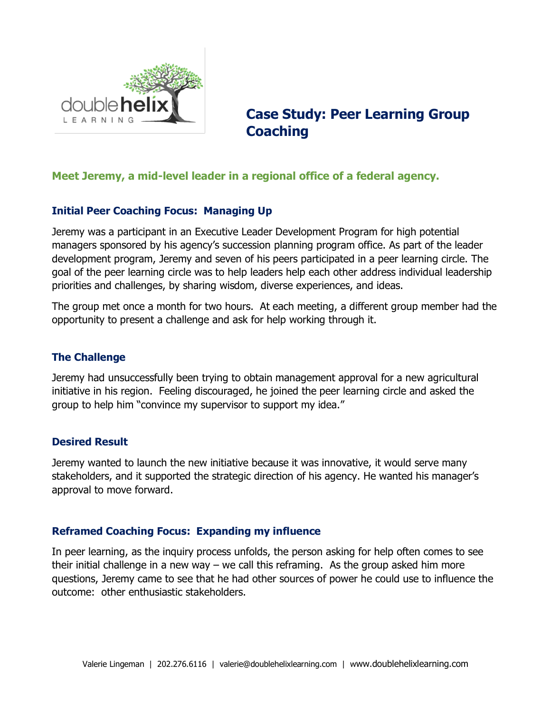

# **Case Study: Peer Learning Group Coaching**

# **Meet Jeremy, a mid-level leader in a regional office of a federal agency.**

# **Initial Peer Coaching Focus: Managing Up**

Jeremy was a participant in an Executive Leader Development Program for high potential managers sponsored by his agency's succession planning program office. As part of the leader development program, Jeremy and seven of his peers participated in a peer learning circle. The goal of the peer learning circle was to help leaders help each other address individual leadership priorities and challenges, by sharing wisdom, diverse experiences, and ideas.

The group met once a month for two hours. At each meeting, a different group member had the opportunity to present a challenge and ask for help working through it.

#### **The Challenge**

Jeremy had unsuccessfully been trying to obtain management approval for a new agricultural initiative in his region. Feeling discouraged, he joined the peer learning circle and asked the group to help him "convince my supervisor to support my idea."

## **Desired Result**

Jeremy wanted to launch the new initiative because it was innovative, it would serve many stakeholders, and it supported the strategic direction of his agency. He wanted his manager's approval to move forward.

#### **Reframed Coaching Focus: Expanding my influence**

In peer learning, as the inquiry process unfolds, the person asking for help often comes to see their initial challenge in a new way – we call this reframing. As the group asked him more questions, Jeremy came to see that he had other sources of power he could use to influence the outcome: other enthusiastic stakeholders.